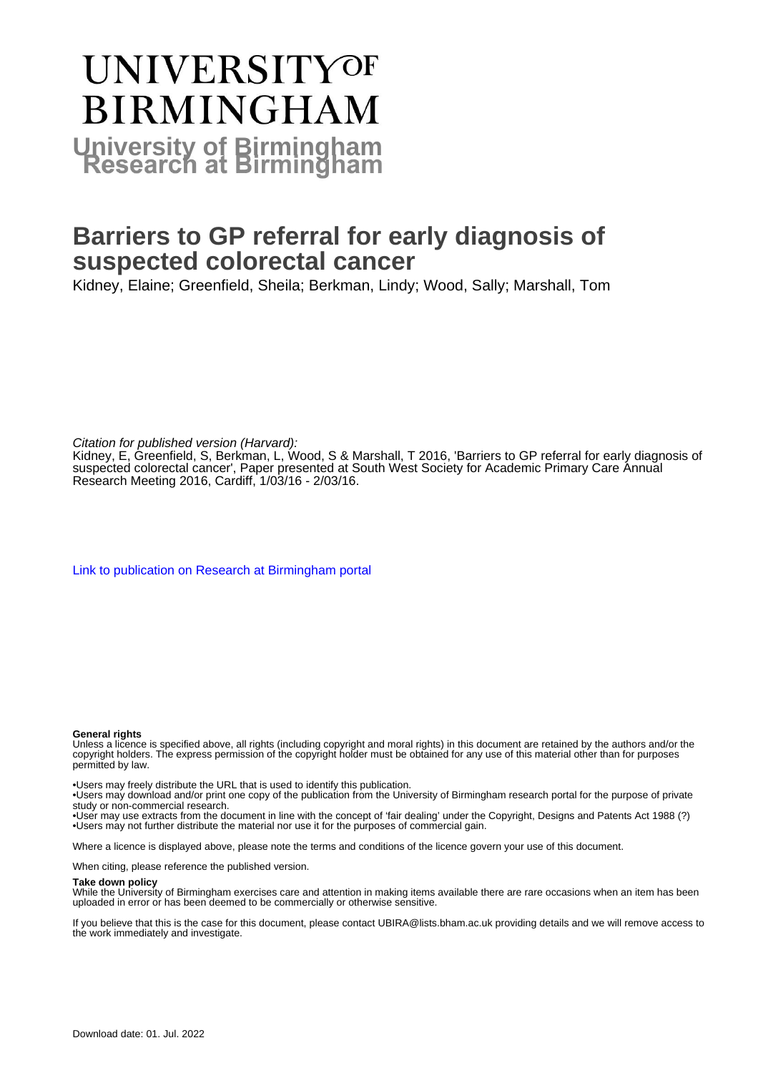#### **UNIVERSITYOF BIRMINGHAM University of Birmingham**

#### **Barriers to GP referral for early diagnosis of suspected colorectal cancer**

Kidney, Elaine; Greenfield, Sheila; Berkman, Lindy; Wood, Sally; Marshall, Tom

Citation for published version (Harvard):

Kidney, E, Greenfield, S, Berkman, L, Wood, S & Marshall, T 2016, 'Barriers to GP referral for early diagnosis of suspected colorectal cancer', Paper presented at South West Society for Academic Primary Care Annual Research Meeting 2016, Cardiff, 1/03/16 - 2/03/16.

[Link to publication on Research at Birmingham portal](https://birmingham.elsevierpure.com/en/publications/ce352d11-7b78-4cfc-a39e-4da7e8c8fd83)

#### **General rights**

Unless a licence is specified above, all rights (including copyright and moral rights) in this document are retained by the authors and/or the copyright holders. The express permission of the copyright holder must be obtained for any use of this material other than for purposes permitted by law.

• Users may freely distribute the URL that is used to identify this publication.

• Users may download and/or print one copy of the publication from the University of Birmingham research portal for the purpose of private study or non-commercial research.

• User may use extracts from the document in line with the concept of 'fair dealing' under the Copyright, Designs and Patents Act 1988 (?) • Users may not further distribute the material nor use it for the purposes of commercial gain.

Where a licence is displayed above, please note the terms and conditions of the licence govern your use of this document.

When citing, please reference the published version.

#### **Take down policy**

While the University of Birmingham exercises care and attention in making items available there are rare occasions when an item has been uploaded in error or has been deemed to be commercially or otherwise sensitive.

If you believe that this is the case for this document, please contact UBIRA@lists.bham.ac.uk providing details and we will remove access to the work immediately and investigate.